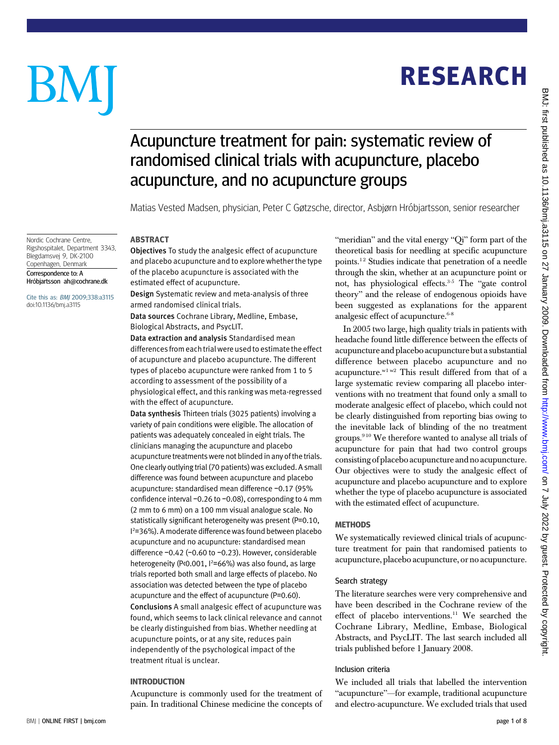# **RESEARCH** RESEARCH

## Acupuncture treatment for pain: systematic review of randomised clinical trials with acupuncture, placebo acupuncture, and no acupuncture groups

Matias Vested Madsen, physician, Peter C Gøtzsche, director, Asbiørn Hróbiartsson, senior researcher

-----------<br>Objectives To study the analgesic effect of acupuncture and placebo acupuncture and to explore whether the type of the placebo acupuncture is associated with the estimated effect of acupuncture.

Design Systematic review and meta-analysis of three armed randomised clinical trials.

Data sources Cochrane Library, Medline, Embase, Biological Abstracts, and PsycLIT.

Data extraction and analysis Standardised mean differences from each trial were used to estimate the effect of acupuncture and placebo acupuncture. The different types of placebo acupuncture were ranked from 1 to 5 according to assessment of the possibility of a physiological effect, and this ranking was meta-regressed with the effect of acupuncture.

Data synthesis Thirteen trials (3025 patients) involving a variety of pain conditions were eligible. The allocation of patients was adequately concealed in eight trials. The clinicians managing the acupuncture and placebo acupuncture treatments were not blinded in any of the trials. One clearly outlying trial (70 patients) was excluded. A small difference was found between acupuncture and placebo acupuncture: standardised mean difference −0.17 (95% confidence interval −0.26 to −0.08), corresponding to 4 mm (2 mm to 6 mm) on a 100 mm visual analogue scale. No statistically significant heterogeneity was present (P=0.10, I 2 =36%). A moderate difference was found between placebo acupuncture and no acupuncture: standardised mean difference −0.42 (−0.60 to −0.23). However, considerable heterogeneity (P<0.001, I<sup>2</sup>=66%) was also found, as large trials reported both small and large effects of placebo. No association was detected between the type of placebo acupuncture and the effect of acupuncture (P=0.60).

Conclusions A small analgesic effect of acupuncture was found, which seems to lack clinical relevance and cannot be clearly distinguished from bias. Whether needling at acupuncture points, or at any site, reduces pain independently of the psychological impact of the treatment ritual is unclear.

#### **INTRODUCTION**

**INTRODUCTION**<br>Acupuncture is commonly used for the treatment of pain. In traditional Chinese medicine the concepts of "meridian" and the vital energy "Qi" form part of the theoretical basis for needling at specific acupuncture points.1 2 Studies indicate that penetration of a needle through the skin, whether at an acupuncture point or not, has physiological effects.<sup>3-5</sup> The "gate control theory" and the release of endogenous opioids have been suggested as explanations for the apparent analgesic effect of acupuncture.<sup>6-8</sup>

In 2005 two large, high quality trials in patients with headache found little difference between the effects of acupuncture and placebo acupuncture but a substantial difference between placebo acupuncture and no acupuncture. $w_1 w_2$  This result differed from that of a large systematic review comparing all placebo interventions with no treatment that found only a small to moderate analgesic effect of placebo, which could not be clearly distinguished from reporting bias owing to the inevitable lack of blinding of the no treatment groups.9 10 We therefore wanted to analyse all trials of acupuncture for pain that had two control groups consisting of placebo acupuncture and no acupuncture. Our objectives were to study the analgesic effect of acupuncture and placebo acupuncture and to explore whether the type of placebo acupuncture is associated with the estimated effect of acupuncture.

### **METHODS**

...\_\_\_\_\_\_\_<br>We systematically reviewed clinical trials of acupuncture treatment for pain that randomised patients to acupuncture, placebo acupuncture, or no acupuncture.

#### Search strategy

The literature searches were very comprehensive and have been described in the Cochrane review of the effect of placebo interventions.<sup>11</sup> We searched the Cochrane Library, Medline, Embase, Biological Abstracts, and PsycLIT. The last search included all trials published before 1 January 2008.

### Inclusion criteria

We included all trials that labelled the intervention "acupuncture"—for example, traditional acupuncture and electro-acupuncture. We excluded trials that used





Nordic Cochrane Centre, Rigshospitalet, Department 3343, Blegdamsvej 9, DK-2100 Copenhagen, Denmark Correspondence to: A Hróbjartsson ah@cochrane.dk Cite this as: BMJ 2009;338:a3115 doi:10.1136/bmj.a3115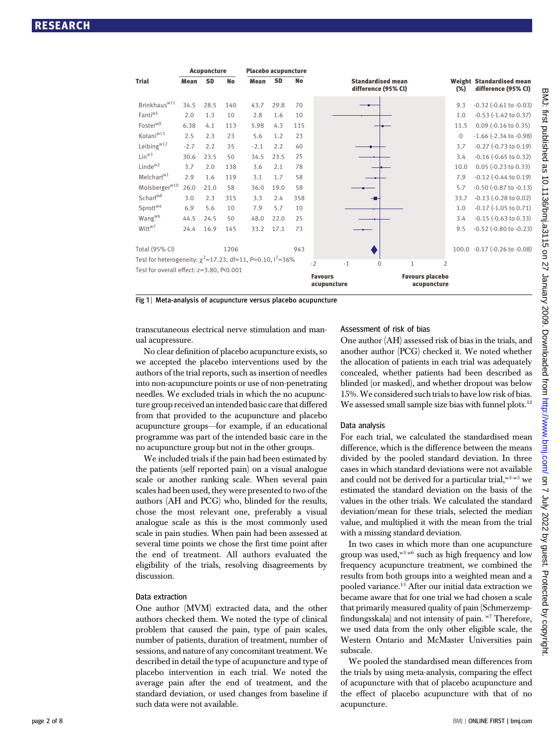|                                                                               | <b>Acupuncture</b> |           |           | <b>Placebo acupuncture</b> |                                                                        |           |                                                    |              |                                                        |
|-------------------------------------------------------------------------------|--------------------|-----------|-----------|----------------------------|------------------------------------------------------------------------|-----------|----------------------------------------------------|--------------|--------------------------------------------------------|
| <b>Trial</b>                                                                  | Mean               | <b>SD</b> | <b>No</b> | Mean                       | <b>SD</b>                                                              | <b>No</b> | <b>Standardised mean</b><br>difference (95% CI)    | $(\%)$       | <b>Weight Standardised mean</b><br>difference (95% CI) |
| Brinkhaus <sup>w11</sup>                                                      | 34.5               | 28.5      | 140       | 43.7                       | 29.8                                                                   | 70        |                                                    | 9.3          | $-0.32$ $(-0.61$ to $-0.03)$                           |
| Fanti <sup>w5</sup>                                                           | 2.0                | 1.3       | 10        | 2.8                        | 1.6                                                                    | 10        |                                                    | 1.0          | $-0.53$ $(-1.42$ to $0.37)$                            |
| Foster <sup>w9</sup>                                                          | 6.38               | 4.1       | 113       | 5.98                       | 4.3                                                                    | 115       |                                                    | 11.5         | $0.09$ ( $-0.16$ to $0.35$ )                           |
| Kotani <sup>w13</sup>                                                         | 2.5                | 2.3       | 23        | 5.6                        | 1.2                                                                    | 23        |                                                    | $\mathbf{0}$ | $-1.66$ $(-2.34$ to $-0.98)$                           |
| Leibing <sup>w12</sup>                                                        | $-2.7$             | 2.2       | 35        | $-2.1$                     | 2.2                                                                    | 40        |                                                    | 3.7          | $-0.27$ $(-0.73$ to $0.19)$                            |
| Lin <sup>w3</sup>                                                             | 30.6               | 23.5      | 50        | 34.5                       | 23.5                                                                   | 25        |                                                    | 3.4          | $-0.16$ $(-0.65$ to $0.32)$                            |
| Linde <sup>w2</sup>                                                           | 3.7                | 2.0       | 138       | 3.6                        | 2.1                                                                    | 78        |                                                    | 10.0         | $0.05$ ( $-0.23$ to $0.33$ )                           |
| Melchart <sup>w1</sup>                                                        | 2.9                | 1.6       | 119       | 3.1                        | 1.7                                                                    | 58        |                                                    | 7.9          | $-0.12$ $(-0.44$ to $0.19)$                            |
| Molsberger <sup>w10</sup>                                                     | 26.0               | 21.0      | 58        | 36.0                       | 19.0                                                                   | 58        |                                                    | 5.7          | $-0.50$ $(-0.87$ to $-0.13)$                           |
| Scharf <sup>w8</sup>                                                          | 3.0                | 2.3       | 315       | 3.3                        | 2.4                                                                    | 358       |                                                    | 33.7         | $-0.13$ $(-0.28$ to $0.02)$                            |
| Sprott <sup>w4</sup>                                                          | 6.9                | 5.6       | 10        | 7.9                        | 5.7                                                                    | 10        |                                                    | 1.0          | $-0.17$ $(-1.05$ to $0.71)$                            |
| Wang <sup>w6</sup>                                                            | 44.5               | 24.5      | 50        | 48.0                       | 22.0                                                                   | 25        |                                                    | 3.4          | $-0.15$ $(-0.63$ to $0.33)$                            |
| Witt <sup>w7</sup>                                                            | 24.4               | 16.9      | 145       | 33.2                       | 17.1                                                                   | 73        |                                                    | 9.5          | $-0.52$ $(-0.80$ to $-0.23)$                           |
| Total (95% CI)                                                                |                    |           | 1206      |                            |                                                                        | 943       |                                                    |              | 100.0 -0.17 (-0.26 to -0.08)                           |
| Test for heterogeneity: $\chi^2$ =17.23, df=11, P=0.10, $\chi^2$ =36%<br>$-2$ |                    |           |           |                            |                                                                        |           | $\mathbf{1}$<br>$\overline{2}$<br>$-1$<br>$\Omega$ |              |                                                        |
| Test for overall effect: z=3.80, P<0.001                                      |                    |           |           |                            | <b>Favours placebo</b><br><b>Favours</b><br>acupuncture<br>acupuncture |           |                                                    |              |                                                        |

Fig 1 | Meta-analysis of acupuncture versus placebo acupuncture

transcutaneous electrical nerve stimulation and manual acupressure.

No clear definition of placebo acupuncture exists, so we accepted the placebo interventions used by the authors of the trial reports, such as insertion of needles into non-acupuncture points or use of non-penetrating needles. We excluded trials in which the no acupuncture group received an intended basic care that differed from that provided to the acupuncture and placebo acupuncture groups—for example, if an educational programme was part of the intended basic care in the no acupuncture group but not in the other groups.

We included trials if the pain had been estimated by the patients (self reported pain) on a visual analogue scale or another ranking scale. When several pain scales had been used, they were presented to two of the authors (AH and PCG) who, blinded for the results, chose the most relevant one, preferably a visual analogue scale as this is the most commonly used scale in pain studies. When pain had been assessed at several time points we chose the first time point after the end of treatment. All authors evaluated the eligibility of the trials, resolving disagreements by discussion.

### Data extraction

One author (MVM) extracted data, and the other authors checked them. We noted the type of clinical problem that caused the pain, type of pain scales, number of patients, duration of treatment, number of sessions, and nature of any concomitant treatment. We described in detail the type of acupuncture and type of placebo intervention in each trial. We noted the average pain after the end of treatment, and the standard deviation, or used changes from baseline if such data were not available.

#### Assessment of risk of bias

One author (AH) assessed risk of bias in the trials, and another author (PCG) checked it. We noted whether the allocation of patients in each trial was adequately concealed, whether patients had been described as blinded (or masked), and whether dropout was below 15%.We considered such trials to have low risk of bias. We assessed small sample size bias with funnel plots.<sup>12</sup>

#### Data analysis

For each trial, we calculated the standardised mean difference, which is the difference between the means divided by the pooled standard deviation. In three cases in which standard deviations were not available and could not be derived for a particular trial, w3-w5 we estimated the standard deviation on the basis of the values in the other trials. We calculated the standard deviation/mean for these trials, selected the median value, and multiplied it with the mean from the trial with a missing standard deviation.

In two cases in which more than one acupuncture group was used,<sup>w3 w6</sup> such as high frequency and low frequency acupuncture treatment, we combined the results from both groups into a weighted mean and a pooled variance.13 After our initial data extraction we became aware that for one trial we had chosen a scale that primarily measured quality of pain (Schmerzempfindungsskala) and not intensity of pain. w7 Therefore, we used data from the only other eligible scale, the Western Ontario and McMaster Universities pain subscale.

We pooled the standardised mean differences from the trials by using meta-analysis, comparing the effect of acupuncture with that of placebo acupuncture and the effect of placebo acupuncture with that of no acupuncture.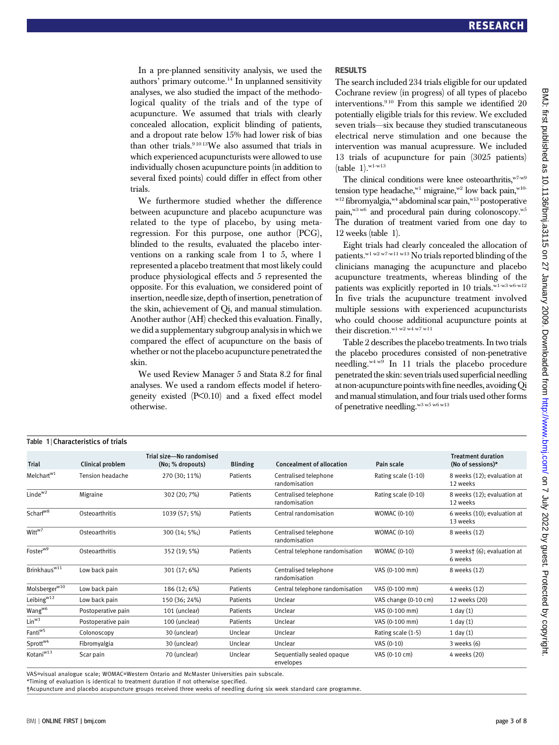In a pre-planned sensitivity analysis, we used the authors' primary outcome.14 In unplanned sensitivity analyses, we also studied the impact of the methodological quality of the trials and of the type of acupuncture. We assumed that trials with clearly concealed allocation, explicit blinding of patients, and a dropout rate below 15% had lower risk of bias than other trials.<sup>9 10 13</sup>We also assumed that trials in which experienced acupuncturists were allowed to use individually chosen acupuncture points (in addition to several fixed points) could differ in effect from other trials.

We furthermore studied whether the difference between acupuncture and placebo acupuncture was related to the type of placebo, by using metaregression. For this purpose, one author (PCG), blinded to the results, evaluated the placebo interventions on a ranking scale from 1 to 5, where 1 represented a placebo treatment that most likely could produce physiological effects and 5 represented the opposite. For this evaluation, we considered point of insertion, needle size, depth of insertion, penetration of the skin, achievement of Qi, and manual stimulation. Another author (AH) checked this evaluation. Finally, we did a supplementary subgroup analysis in which we compared the effect of acupuncture on the basis of whether or not the placebo acupuncture penetrated the skin.

We used Review Manager 5 and Stata 8.2 for final analyses. We used a random effects model if heterogeneity existed  $(P<0.10)$  and a fixed effect model otherwise.

#### **RESULTS**

The search included 234 trials eligible for our updated Cochrane review (in progress) of all types of placebo interventions.<sup>910</sup> From this sample we identified 20 potentially eligible trials for this review. We excluded seven trials—six because they studied transcutaneous electrical nerve stimulation and one because the intervention was manual acupressure. We included 13 trials of acupuncture for pain (3025 patients)  $(table 1).<sup>w1-w13</sup>$ 

The clinical conditions were knee osteoarthritis, $w^{7-w9}$ tension type headache,<sup>w1</sup> migraine,<sup>w2</sup> low back pain,<sup>w10-</sup> w<sup>12</sup> fibromyalgia, w<sup>4</sup> abdominal scar pain, w<sup>13</sup> postoperative pain,  $^{w3\text{ w6}}$  and procedural pain during colonoscopy. $^{w5}$ The duration of treatment varied from one day to 12 weeks (table 1).

Eight trials had clearly concealed the allocation of patients.<sup>w1 w2 w7-w11 w13</sup> No trials reported blinding of the clinicians managing the acupuncture and placebo acupuncture treatments, whereas blinding of the patients was explicitly reported in 10 trials. $w_1-w_3$  w6-w12 In five trials the acupuncture treatment involved multiple sessions with experienced acupuncturists who could choose additional acupuncture points at their discretion.w1 w2 w4 w7 w11

Table 2 describes the placebo treatments. In two trials the placebo procedures consisted of non-penetrative needling.w4 w9 In 11 trials the placebo procedure penetrated the skin: seven trials used superficial needling at non-acupuncture points with fine needles, avoiding Qi and manual stimulation, and four trials used other forms of penetrative needling.<sup>w3 w5 w6 w13</sup>

|                                 | Table 1 Characteristics of trials |                                              |                 |                                         |                      |                                                |
|---------------------------------|-----------------------------------|----------------------------------------------|-----------------|-----------------------------------------|----------------------|------------------------------------------------|
| <b>Trial</b>                    | Clinical problem                  | Trial size-No randomised<br>(No; % dropouts) | <b>Blinding</b> | <b>Concealment of allocation</b>        | Pain scale           | <b>Treatment duration</b><br>(No of sessions)* |
| Melchart <sup>w1</sup>          | Tension headache                  | 270 (30; 11%)                                | Patients        | Centralised telephone<br>randomisation  | Rating scale (1-10)  | 8 weeks (12); evaluation at<br>12 weeks        |
| $Line^{w2}$                     | Migraine                          | 302 (20; 7%)                                 | Patients        | Centralised telephone<br>randomisation  | Rating scale (0-10)  | 8 weeks (12); evaluation at<br>12 weeks        |
| Scharf <sup>w8</sup>            | Osteoarthritis                    | 1039 (57; 5%)                                | Patients        | Central randomisation                   | <b>WOMAC (0-10)</b>  | 6 weeks (10); evaluation at<br>13 weeks        |
| Witt <sup>w7</sup>              | Osteoarthritis                    | 300 (14; 5%;)                                | Patients        | Centralised telephone<br>randomisation  | <b>WOMAC (0-10)</b>  | 8 weeks (12)                                   |
| Foster <sup>w9</sup>            | Osteoarthritis                    | 352 (19; 5%)                                 | Patients        | Central telephone randomisation         | <b>WOMAC (0-10)</b>  | 3 weeks† (6); evaluation at<br>6 weeks         |
| Brinkhaus <sup>w11</sup>        | Low back pain                     | 301 (17; 6%)                                 | Patients        | Centralised telephone<br>randomisation  | VAS (0-100 mm)       | 8 weeks (12)                                   |
| Molsberger <sup>w10</sup>       | Low back pain                     | 186 (12; 6%)                                 | Patients        | Central telephone randomisation         | VAS (0-100 mm)       | 4 weeks (12)                                   |
| Leibing <sup>w12</sup>          | Low back pain                     | 150 (36; 24%)                                | Patients        | Unclear                                 | VAS change (0-10 cm) | 12 weeks (20)                                  |
| Wang <sup>w6</sup>              | Postoperative pain                | 101 (unclear)                                | Patients        | Unclear                                 | VAS (0-100 mm)       | $1$ day $(1)$                                  |
| Lin <sup>w3</sup>               | Postoperative pain                | 100 (unclear)                                | Patients        | Unclear                                 | VAS (0-100 mm)       | $1$ day $(1)$                                  |
| Fanti <sup>w5</sup>             | Colonoscopy                       | 30 (unclear)                                 | Unclear         | Unclear                                 | Rating scale (1-5)   | $1$ day $(1)$                                  |
| $\mathsf{Sprott}^{\mathsf{w4}}$ | Fibromyalgia                      | 30 (unclear)                                 | Unclear         | Unclear                                 | VAS (0-10)           | 3 weeks (6)                                    |
| Kotani <sup>w13</sup>           | Scar pain                         | 70 (unclear)                                 | Unclear         | Sequentially sealed opaque<br>envelopes | VAS (0-10 cm)        | 4 weeks (20)                                   |
|                                 |                                   |                                              |                 |                                         |                      |                                                |

VAS=visual analogue scale; WOMAC=Western Ontario and McMaster Universities pain subscale.

\*Timing of evaluation is identical to treatment duration if not otherwise specified.

†Acupuncture and placebo acupuncture groups received three weeks of needling during six week standard care programme.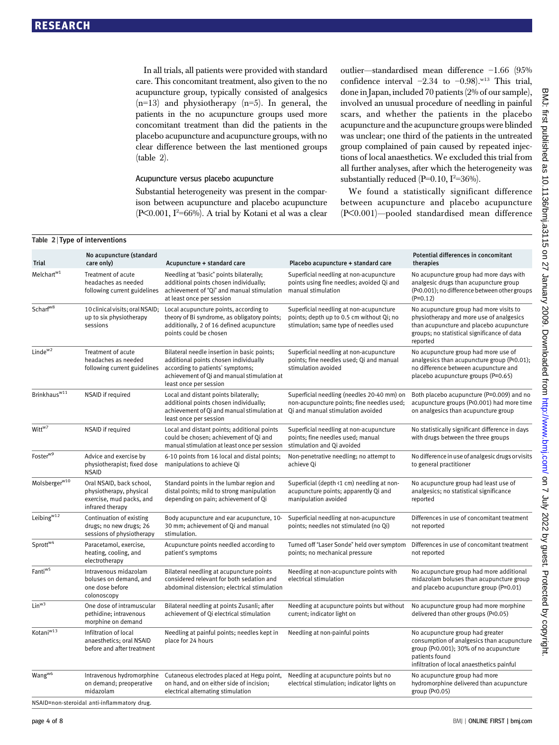In all trials, all patients were provided with standard care. This concomitant treatment, also given to the no acupuncture group, typically consisted of analgesics  $(n=13)$  and physiotherapy  $(n=5)$ . In general, the patients in the no acupuncture groups used more concomitant treatment than did the patients in the placebo acupuncture and acupuncture groups, with no clear difference between the last mentioned groups (table 2).

#### Acupuncture versus placebo acupuncture

Substantial heterogeneity was present in the comparison between acupuncture and placebo acupuncture  $($ P $<$ 0.001, I $^{2}$ =66%). A trial by Kotani et al was a clear

outlier—standardised mean difference −1.66 (95% confidence interval  $-2.34$  to  $-0.98$ ).<sup>w13</sup> This trial, done in Japan, included 70 patients (2% of our sample), involved an unusual procedure of needling in painful scars, and whether the patients in the placebo acupuncture and the acupuncture groups were blinded was unclear; one third of the patients in the untreated group complained of pain caused by repeated injections of local anaesthetics. We excluded this trial from all further analyses, after which the heterogeneity was substantially reduced  $(P=0.10, I^2=36\%)$ .

We found a statistically significant difference between acupuncture and placebo acupuncture (P<0.001)—pooled standardised mean difference

|                                 | Table $2$ Type of interventions                                                                     |                                                                                                                                                                                                   |                                                                                                                                |                                                                                                                                                                                            |
|---------------------------------|-----------------------------------------------------------------------------------------------------|---------------------------------------------------------------------------------------------------------------------------------------------------------------------------------------------------|--------------------------------------------------------------------------------------------------------------------------------|--------------------------------------------------------------------------------------------------------------------------------------------------------------------------------------------|
| <b>Trial</b>                    | No acupuncture (standard<br>care only)                                                              | Acupuncture + standard care                                                                                                                                                                       | Placebo acupuncture + standard care                                                                                            | Potential differences in concomitant<br>therapies                                                                                                                                          |
| Melchart <sup>w1</sup>          | Treatment of acute<br>headaches as needed<br>following current guidelines                           | Needling at "basic" points bilaterally;<br>additional points chosen individually;<br>achievement of "Qi" and manual stimulation<br>at least once per session                                      | Superficial needling at non-acupuncture<br>points using fine needles; avoided Qi and<br>manual stimulation                     | No acupuncture group had more days with<br>analgesic drugs than acupuncture group<br>(P<0.001); no difference between other groups<br>$(P=0.12)$                                           |
| Scharf <sup>w8</sup>            | 10 clinical visits; oral NSAID;<br>up to six physiotherapy<br>sessions                              | Local acupuncture points, according to<br>theory of Bi syndrome, as obligatory points;<br>additionally, 2 of 16 defined acupuncture<br>points could be chosen                                     | Superficial needling at non-acupuncture<br>points; depth up to 0.5 cm without Qi; no<br>stimulation; same type of needles used | No acupuncture group had more visits to<br>physiotherapy and more use of analgesics<br>than acupuncture and placebo acupuncture<br>groups; no statistical significance of data<br>reported |
| Linde <sup>w2</sup>             | Treatment of acute<br>headaches as needed<br>following current guidelines                           | Bilateral needle insertion in basic points;<br>additional points chosen individually<br>according to patients' symptoms;<br>achievement of Qi and manual stimulation at<br>least once per session | Superficial needling at non-acupuncture<br>points; fine needles used; Qi and manual<br>stimulation avoided                     | No acupuncture group had more use of<br>analgesics than acupuncture group (P<0.01);<br>no difference between acupuncture and<br>placebo acupuncture groups (P=0.65)                        |
| Brinkhaus <sup>w11</sup>        | NSAID if required                                                                                   | Local and distant points bilaterally;<br>additional points chosen individually;<br>achievement of Qi and manual stimulation at<br>least once per session                                          | Superficial needling (needles 20-40 mm) on<br>non-acupuncture points; fine needles used;<br>Qi and manual stimulation avoided  | Both placebo acupuncture (P=0.009) and no<br>acupuncture groups (P<0.001) had more time<br>on analgesics than acupuncture group                                                            |
| Witt <sup>w7</sup>              | NSAID if required                                                                                   | Local and distant points; additional points<br>could be chosen; achievement of Qi and<br>manual stimulation at least once per session                                                             | Superficial needling at non-acupuncture<br>points; fine needles used; manual<br>stimulation and Qi avoided                     | No statistically significant difference in days<br>with drugs between the three groups                                                                                                     |
| Foster <sup>w9</sup>            | Advice and exercise by<br>physiotherapist; fixed dose<br><b>NSAID</b>                               | 6-10 points from 16 local and distal points;<br>manipulations to achieve Qi                                                                                                                       | Non-penetrative needling; no attempt to<br>achieve Qi                                                                          | No difference in use of analgesic drugs or visits<br>to general practitioner                                                                                                               |
| $\mathsf{Molsberger}^{\leq 10}$ | Oral NSAID, back school,<br>physiotherapy, physical<br>exercise, mud packs, and<br>infrared therapy | Standard points in the lumbar region and<br>distal points; mild to strong manipulation<br>depending on pain; achievement of Qi                                                                    | Superficial (depth <1 cm) needling at non-<br>acupuncture points; apparently Qi and<br>manipulation avoided                    | No acupuncture group had least use of<br>analgesics; no statistical significance<br>reported                                                                                               |
| Leibing <sup>w12</sup>          | Continuation of existing<br>drugs; no new drugs; 26<br>sessions of physiotherapy                    | Body acupuncture and ear acupuncture, 10-<br>30 mm; achievement of Qi and manual<br>stimulation.                                                                                                  | Superficial needling at non-acupuncture<br>points; needles not stimulated (no Qi)                                              | Differences in use of concomitant treatment<br>not reported                                                                                                                                |
| Sprott <sup>w4</sup>            | Paracetamol, exercise,<br>heating, cooling, and<br>electrotherapy                                   | Acupuncture points needled according to<br>patient's symptoms                                                                                                                                     | Turned off "Laser Sonde" held over symptom<br>points; no mechanical pressure                                                   | Differences in use of concomitant treatment<br>not reported                                                                                                                                |
| Fanti <sup>w5</sup>             | Intravenous midazolam<br>boluses on demand, and<br>one dose before<br>colonoscopy                   | Bilateral needling at acupuncture points<br>considered relevant for both sedation and<br>abdominal distension; electrical stimulation                                                             | Needling at non-acupuncture points with<br>electrical stimulation                                                              | No acupuncture group had more additional<br>midazolam boluses than acupuncture group<br>and placebo acupuncture group (P=0.01)                                                             |
| Lin <sup>w3</sup>               | One dose of intramuscular<br>pethidine; intravenous<br>morphine on demand                           | Bilateral needling at points Zusanli; after<br>achievement of Qi electrical stimulation                                                                                                           | Needling at acupuncture points but without<br>current; indicator light on                                                      | No acupuncture group had more morphine<br>delivered than other groups (P<0.05)                                                                                                             |
| Kotani <sup>w13</sup>           | Infiltration of local<br>anaesthetics; oral NSAID<br>before and after treatment                     | Needling at painful points; needles kept in<br>place for 24 hours                                                                                                                                 | Needling at non-painful points                                                                                                 | No acupuncture group had greater<br>consumption of analgesics than acupuncture<br>group (P<0.001); 30% of no acupuncture<br>patients found<br>infiltration of local anaesthetics painful   |
| $\mathsf{Wang}^{\mathsf{w6}}$   | Intravenous hydromorphine<br>on demand; preoperative<br>midazolam                                   | Cutaneous electrodes placed at Hegu point,<br>on hand, and on either side of incision;<br>electrical alternating stimulation                                                                      | Needling at acupuncture points but no<br>electrical stimulation; indicator lights on                                           | No acupuncture group had more<br>hydromorphine delivered than acupuncture<br>group (P<0.05)                                                                                                |
|                                 | NSAID=non-steroidal anti-inflammatory drug.                                                         |                                                                                                                                                                                                   |                                                                                                                                |                                                                                                                                                                                            |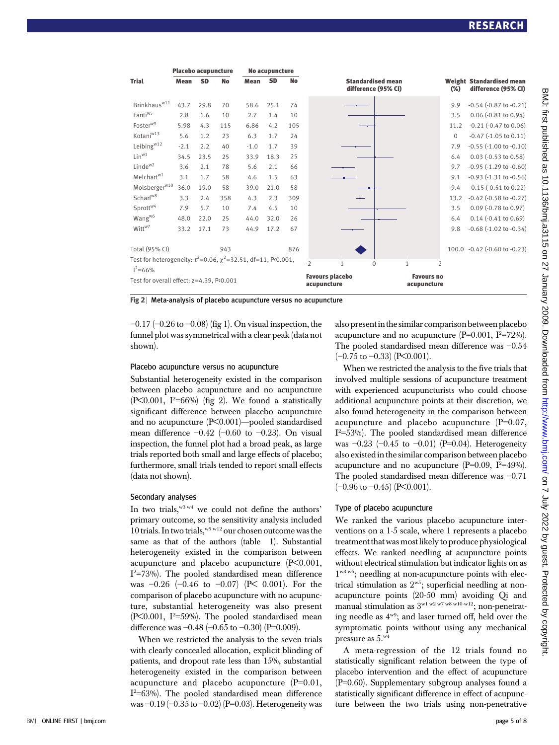

Fig 2 | Meta-analysis of placebo acupuncture versus no acupuncture

 $-0.17$  ( $-0.26$  to  $-0.08$ ) (fig 1). On visual inspection, the funnel plot was symmetrical with a clear peak (data not shown).

#### Placebo acupuncture versus no acupuncture

Substantial heterogeneity existed in the comparison between placebo acupuncture and no acupuncture  $($ P $\leq$ 0.001, I $^{2}$ =66%) (fig 2). We found a statistically significant difference between placebo acupuncture and no acupuncture (P<0.001)—pooled standardised mean difference −0.42 (−0.60 to −0.23). On visual inspection, the funnel plot had a broad peak, as large trials reported both small and large effects of placebo; furthermore, small trials tended to report small effects (data not shown).

#### Secondary analyses

In two trials,  $w_3 w_4$  we could not define the authors' primary outcome, so the sensitivity analysis included 10 trials. In two trials,  $w^5 w^{12}$  our chosen outcome was the same as that of the authors (table 1). Substantial heterogeneity existed in the comparison between acupuncture and placebo acupuncture  $\text{P}\leq 0.001$ ,  $I<sup>2</sup>=73%$ ). The pooled standardised mean difference was −0.26 (−0.46 to −0.07) (P< 0.001). For the comparison of placebo acupuncture with no acupuncture, substantial heterogeneity was also present  $($ P $\leq$ 0.001, I $^{2}$ =59%). The pooled standardised mean difference was  $-0.48$  ( $-0.65$  to  $-0.30$ ) (P=0.009).

When we restricted the analysis to the seven trials with clearly concealed allocation, explicit blinding of patients, and dropout rate less than 15%, substantial heterogeneity existed in the comparison between acupuncture and placebo acupuncture (P=0.01,  $I^2$ =63%). The pooled standardised mean difference was −0.19 (−0.35to −0.02) (P=0.03). Heterogeneity was also presentinthe similar comparison between placebo acupuncture and no acupuncture  $(P=0.001, I^2=72\%)$ . The pooled standardised mean difference was −0.54  $(-0.75 \text{ to } -0.33)$  (P<0.001).

When we restricted the analysis to the five trials that involved multiple sessions of acupuncture treatment with experienced acupuncturists who could choose additional acupuncture points at their discretion, we also found heterogeneity in the comparison between acupuncture and placebo acupuncture (P=0.07,  $I^2$ =53%). The pooled standardised mean difference was  $-0.23$  ( $-0.45$  to  $-0.01$ ) (P=0.04). Heterogeneity also existed in the similar comparison between placebo acupuncture and no acupuncture (P=0.09,  $I^2=49\%$ ). The pooled standardised mean difference was −0.71  $(-0.96 \text{ to } -0.45)$  (P<0.001).

#### Type of placebo acupuncture

We ranked the various placebo acupuncture interventions on a 1-5 scale, where 1 represents a placebo treatment that was most likely to produce physiological effects. We ranked needling at acupuncture points without electrical stimulation but indicator lights on as  $1^{w3\ w6}$ ; needling at non-acupuncture points with electrical stimulation as  $2^{\omega 5}$ ; superficial needling at nonacupuncture points (20-50 mm) avoiding Qi and manual stimulation as  $3^{w1 w2 w7 w8 w10-w12}$ ; non-penetrating needle as 4w9; and laser turned off, held over the symptomatic points without using any mechanical pressure as  $5.^{w4}$ 

A meta-regression of the 12 trials found no statistically significant relation between the type of placebo intervention and the effect of acupuncture (P=0.60). Supplementary subgroup analyses found a statistically significant difference in effect of acupuncture between the two trials using non-penetrative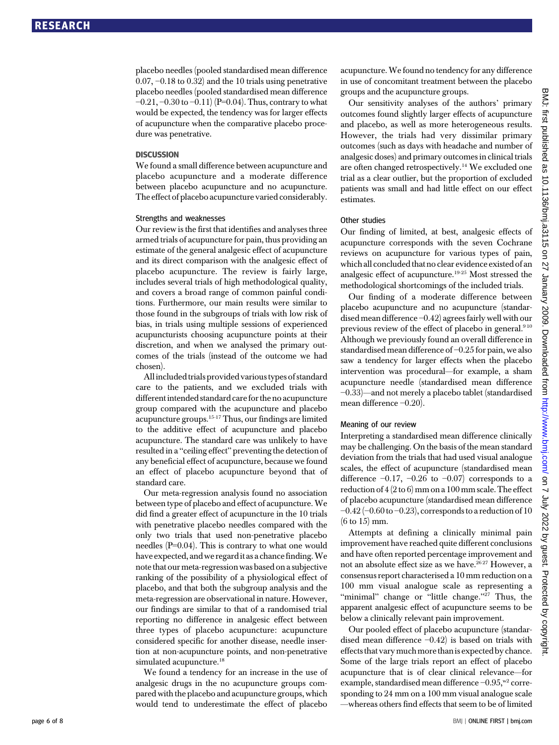placebo needles (pooled standardised mean difference 0.07, −0.18 to 0.32) and the 10 trials using penetrative placebo needles (pooled standardised mean difference  $-0.21, -0.30$  to  $-0.11$ ) (P=0.04). Thus, contrary to what would be expected, the tendency was for larger effects of acupuncture when the comparative placebo procedure was penetrative.

#### **DISCUSSION**

We found a small difference between acupuncture and placebo acupuncture and a moderate difference between placebo acupuncture and no acupuncture. The effect of placebo acupuncture varied considerably.

#### Strengths and weaknesses

Our review is the first that identifies and analyses three armed trials of acupuncture for pain, thus providing an estimate of the general analgesic effect of acupuncture and its direct comparison with the analgesic effect of placebo acupuncture. The review is fairly large, includes several trials of high methodological quality, and covers a broad range of common painful conditions. Furthermore, our main results were similar to those found in the subgroups of trials with low risk of bias, in trials using multiple sessions of experienced acupuncturists choosing acupuncture points at their discretion, and when we analysed the primary outcomes of the trials (instead of the outcome we had chosen).

All included trials provided various types of standard care to the patients, and we excluded trials with different intended standard care for the no acupuncture group compared with the acupuncture and placebo acupuncture groups.15-17 Thus, our findings are limited to the additive effect of acupuncture and placebo acupuncture. The standard care was unlikely to have resulted in a "ceiling effect" preventing the detection of any beneficial effect of acupuncture, because we found an effect of placebo acupuncture beyond that of standard care.

Our meta-regression analysis found no association between type of placebo and effect of acupuncture. We did find a greater effect of acupuncture in the 10 trials with penetrative placebo needles compared with the only two trials that used non-penetrative placebo needles (P=0.04). This is contrary to what one would have expected, and we regard it as a chance finding. We note that our meta-regression was based on a subjective ranking of the possibility of a physiological effect of placebo, and that both the subgroup analysis and the meta-regression are observational in nature. However, our findings are similar to that of a randomised trial reporting no difference in analgesic effect between three types of placebo acupuncture: acupuncture considered specific for another disease, needle insertion at non-acupuncture points, and non-penetrative simulated acupuncture.<sup>18</sup>

We found a tendency for an increase in the use of analgesic drugs in the no acupuncture groups compared with the placebo and acupuncture groups, which would tend to underestimate the effect of placebo acupuncture.We found no tendency for any difference in use of concomitant treatment between the placebo groups and the acupuncture groups.

Our sensitivity analyses of the authors' primary outcomes found slightly larger effects of acupuncture and placebo, as well as more heterogeneous results. However, the trials had very dissimilar primary outcomes (such as days with headache and number of analgesic doses) and primary outcomes in clinical trials are often changed retrospectively.<sup>14</sup> We excluded one trial as a clear outlier, but the proportion of excluded patients was small and had little effect on our effect estimates.

#### Other studies

Our finding of limited, at best, analgesic effects of acupuncture corresponds with the seven Cochrane reviews on acupuncture for various types of pain, which all concluded that no clear evidence existed of an analgesic effect of acupuncture.19-25 Most stressed the methodological shortcomings of the included trials.

Our finding of a moderate difference between placebo acupuncture and no acupuncture (standardised mean difference −0.42) agrees fairly well with our previous review of the effect of placebo in general. $910$ Although we previously found an overall difference in standardised mean difference of −0.25 for pain, we also saw a tendency for larger effects when the placebo intervention was procedural—for example, a sham acupuncture needle (standardised mean difference −0.33)—and not merely a placebo tablet (standardised mean difference −0.20).

#### Meaning of our review

Interpreting a standardised mean difference clinically may be challenging. On the basis of the mean standard deviation from the trials that had used visual analogue scales, the effect of acupuncture (standardised mean difference  $-0.17$ ,  $-0.26$  to  $-0.07$ ) corresponds to a reduction of 4 (2 to 6) mm on a 100 mm scale. The effect of placebo acupuncture (standardised mean difference −0.42 (−0.60 to −0.23), corresponds to a reduction of 10 (6 to 15) mm.

Attempts at defining a clinically minimal pain improvement have reached quite different conclusions and have often reported percentage improvement and not an absolute effect size as we have.<sup>2627</sup> However, a consensus report characterised a 10 mm reduction on a 100 mm visual analogue scale as representing a "minimal" change or "little change."<sup>27</sup> Thus, the apparent analgesic effect of acupuncture seems to be below a clinically relevant pain improvement.

Our pooled effect of placebo acupuncture (standardised mean difference −0.42) is based on trials with effects that vary much more than is expected by chance. Some of the large trials report an effect of placebo acupuncture that is of clear clinical relevance—for example, standardised mean difference −0.95,<sup>w2</sup> corresponding to 24 mm on a 100 mm visual analogue scale —whereas others find effects that seem to be of limited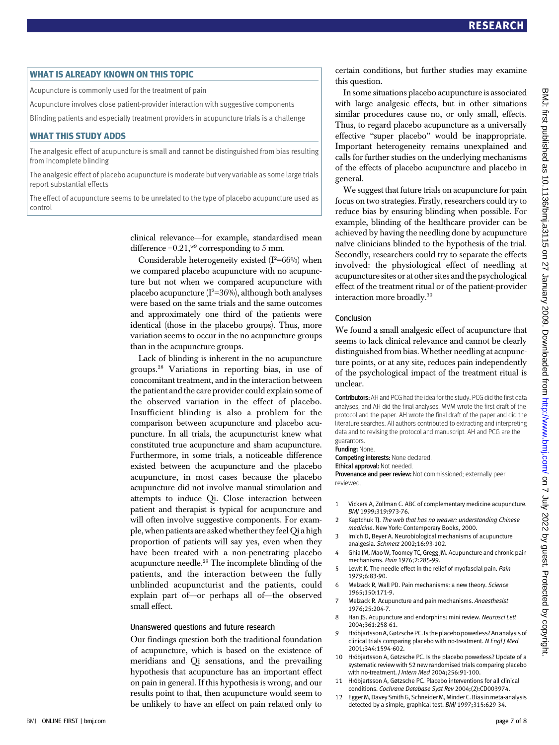WHAT IS ALREADY KNOWN ON THIS TOPIC Acupuncture is commonly used for the treatment of pain

Acupuncture involves close patient-provider interaction with suggestive components

Blinding patients and especially treatment providers in acupuncture trials is a challenge

WHAT THIS STUDY ADDS The analgesic effect of acupuncture is small and cannot be distinguished from bias resulting from incomplete blinding

The analgesic effect of placebo acupuncture is moderate but very variable as some large trials report substantial effects

The effect of acupuncture seems to be unrelated to the type of placebo acupuncture used as control

> clinical relevance—for example, standardised mean difference  $-0.21$ ,<sup>w9</sup> corresponding to 5 mm.

> Considerable heterogeneity existed  $(I<sup>2</sup>=66%)$  when we compared placebo acupuncture with no acupuncture but not when we compared acupuncture with placebo acupuncture (I $^{2}$ =36%), although both analyses were based on the same trials and the same outcomes and approximately one third of the patients were identical (those in the placebo groups). Thus, more variation seems to occur in the no acupuncture groups than in the acupuncture groups.

> Lack of blinding is inherent in the no acupuncture groups.<sup>28</sup> Variations in reporting bias, in use of concomitant treatment, and in the interaction between the patient and the care provider could explain some of the observed variation in the effect of placebo. Insufficient blinding is also a problem for the comparison between acupuncture and placebo acupuncture. In all trials, the acupuncturist knew what constituted true acupuncture and sham acupuncture. Furthermore, in some trials, a noticeable difference existed between the acupuncture and the placebo acupuncture, in most cases because the placebo acupuncture did not involve manual stimulation and attempts to induce Qi. Close interaction between patient and therapist is typical for acupuncture and will often involve suggestive components. For example, when patients are asked whether they feel Qi a high proportion of patients will say yes, even when they have been treated with a non-penetrating placebo acupuncture needle.29 The incomplete blinding of the patients, and the interaction between the fully unblinded acupuncturist and the patients, could explain part of—or perhaps all of—the observed small effect.

#### Unanswered questions and future research

Our findings question both the traditional foundation of acupuncture, which is based on the existence of meridians and Qi sensations, and the prevailing hypothesis that acupuncture has an important effect on pain in general. If this hypothesis is wrong, and our results point to that, then acupuncture would seem to be unlikely to have an effect on pain related only to

certain conditions, but further studies may examine this question.

In some situations placebo acupuncture is associated with large analgesic effects, but in other situations similar procedures cause no, or only small, effects. Thus, to regard placebo acupuncture as a universally effective "super placebo" would be inappropriate. Important heterogeneity remains unexplained and calls for further studies on the underlying mechanisms of the effects of placebo acupuncture and placebo in general.

We suggest that future trials on acupuncture for pain focus on two strategies. Firstly, researchers could try to reduce bias by ensuring blinding when possible. For example, blinding of the healthcare provider can be achieved by having the needling done by acupuncture naïve clinicians blinded to the hypothesis of the trial. Secondly, researchers could try to separate the effects involved: the physiological effect of needling at acupuncture sites or at other sites and the psychological effect of the treatment ritual or of the patient-provider interaction more broadly.30

#### Conclusion

We found a small analgesic effect of acupuncture that seems to lack clinical relevance and cannot be clearly distinguished from bias.Whether needling at acupuncture points, or at any site, reduces pain independently of the psychological impact of the treatment ritual is unclear.

Contributors:AH and PCG had the idea for the study. PCG did the first data analyses, and AH did the final analyses. MVM wrote the first draft of the protocol and the paper. AH wrote the final draft of the paper and did the literature searches. All authors contributed to extracting and interpreting data and to revising the protocol and manuscript. AH and PCG are the guarantors.

#### Funding: None.

Competing interests: None declared.

Ethical approval: Not needed.

Provenance and peer review: Not commissioned; externally peer reviewed.

- 1 Vickers A, Zollman C. ABC of complementary medicine acupuncture. BMJ 1999;319:973-76.
- 2 Kaptchuk TJ. The web that has no weaver: understanding Chinese medicine. New York: Contemporary Books, 2000.
- 3 Irnich D, Beyer A. Neurobiological mechanisms of acupuncture analgesia. Schmerz 2002;16:93-102.
- 4 Ghia JM, Mao W, Toomey TC, Gregg JM. Acupuncture and chronic pain mechanisms. Pain 1976;2:285-99.
- 5 Lewit K. The needle effect in the relief of myofascial pain. Pain 1979;6:83-90.
- 6 Melzack R, Wall PD. Pain mechanisms: a new theory. Science 1965;150:171-9.
- Melzack R. Acupuncture and pain mechanisms. Anaesthesist 1976;25:204-7.
- 8 Han JS. Acupuncture and endorphins: mini review. Neurosci Lett 2004;361:258-61.
- 9 Hróbjartsson A,Gøtzsche PC.Is the placebo powerless? An analysis of clinical trials comparing placebo with no-treatment. N Engl J Med 2001;344:1594-602.
- 10 Hróbjartsson A, Gøtzsche PC. Is the placebo powerless? Update of a systematic review with 52 new randomised trials comparing placebo with no-treatment. J Intern Med 2004;256:91-100.
- 11 Hróbjartsson A, Gøtzsche PC. Placebo interventions for all clinical conditions. Cochrane Database Syst Rev 2004;(2):CD003974.
- 12 Egger M, Davey Smith G, Schneider M, Minder C. Bias in meta-analysis detected by a simple, graphical test. BMJ 1997;315:629-34.